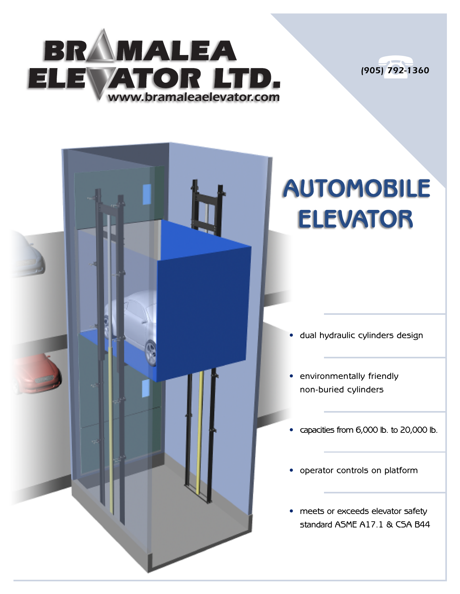